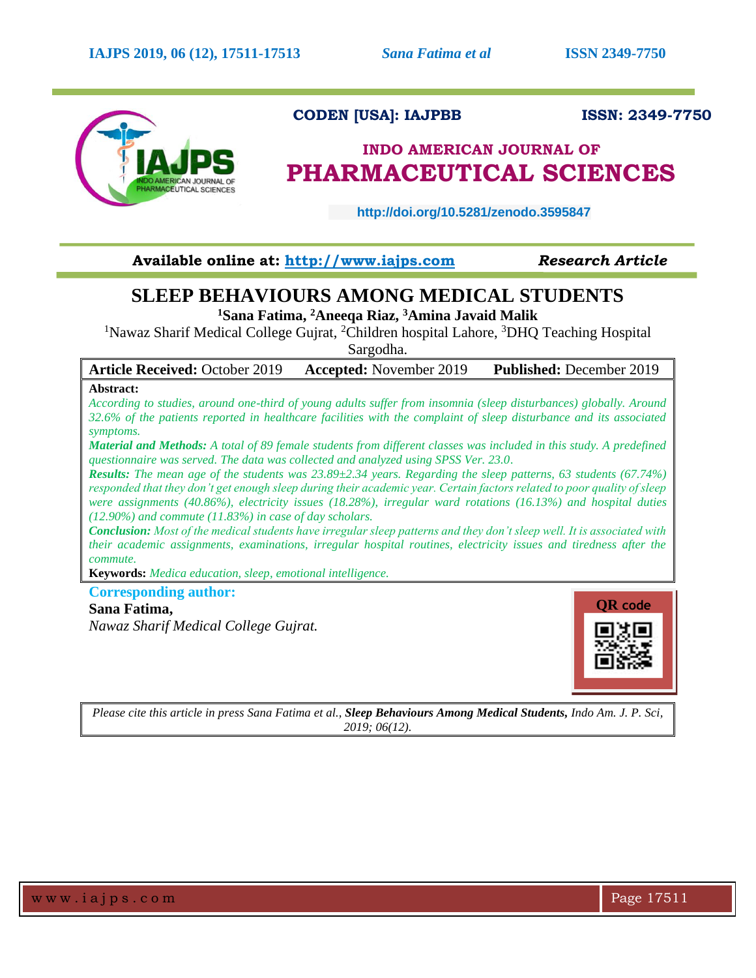

# **CODEN [USA]: IAJPBB ISSN: 2349-7750**

# **INDO AMERICAN JOURNAL OF PHARMACEUTICAL SCIENCES**

 **http://doi.org/10.5281/zenodo.3595847** 

## **Available online at: [http://www.iajps.com](http://www.iajps.com/)** *Research Article*

# **SLEEP BEHAVIOURS AMONG MEDICAL STUDENTS**

**<sup>1</sup>Sana Fatima, <sup>2</sup>Aneeqa Riaz, <sup>3</sup>Amina Javaid Malik**

<sup>1</sup>Nawaz Sharif Medical College Gujrat, <sup>2</sup>Children hospital Lahore, <sup>3</sup>DHQ Teaching Hospital Sargodha.

**Article Received:** October 2019 **Accepted:** November 2019 **Published:** December 2019

### **Abstract:**

*According to studies, around one-third of young adults suffer from insomnia (sleep disturbances) globally. Around 32.6% of the patients reported in healthcare facilities with the complaint of sleep disturbance and its associated symptoms.* 

*Material and Methods: A total of 89 female students from different classes was included in this study. A predefined questionnaire was served. The data was collected and analyzed using SPSS Ver. 23.0.* 

*Results: The mean age of the students was 23.89±2.34 years. Regarding the sleep patterns, 63 students (67.74%) responded that they don't get enough sleep during their academic year. Certain factors related to poor quality of sleep were assignments (40.86%), electricity issues (18.28%), irregular ward rotations (16.13%) and hospital duties (12.90%) and commute (11.83%) in case of day scholars.*

*Conclusion: Most of the medical students have irregular sleep patterns and they don't sleep well. It is associated with their academic assignments, examinations, irregular hospital routines, electricity issues and tiredness after the commute.* 

**Keywords:** *Medica education, sleep, emotional intelligence.* 

## **Corresponding author:**

### **Sana Fatima,**

*Nawaz Sharif Medical College Gujrat.*



*Please cite this article in press Sana Fatima et al., Sleep Behaviours Among Medical Students, Indo Am. J. P. Sci, 2019; 06(12).*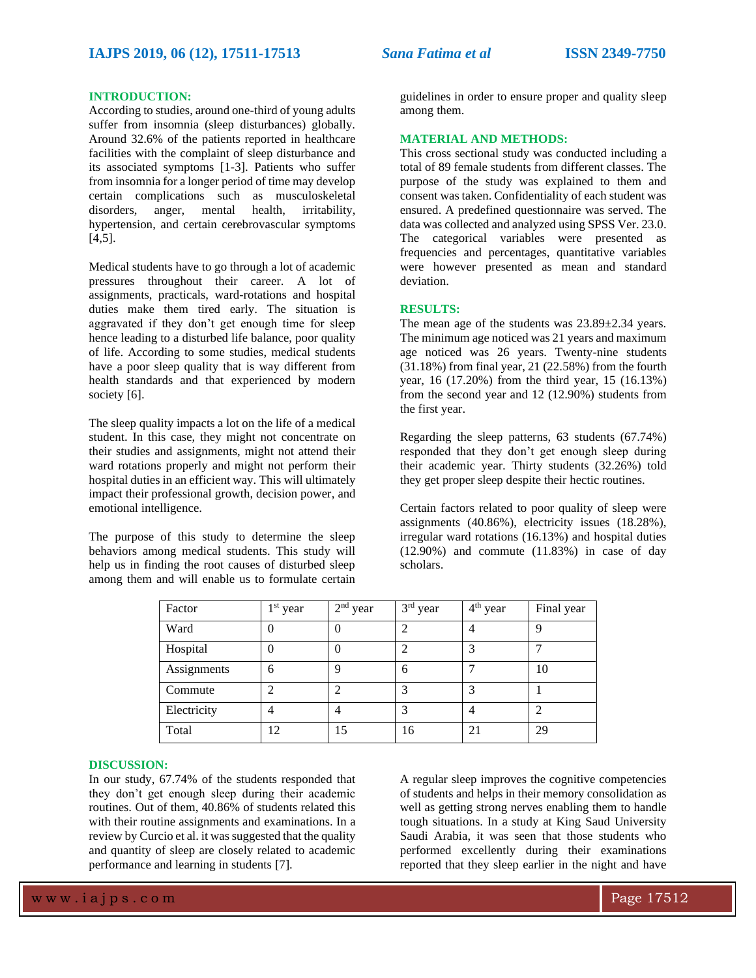#### **INTRODUCTION:**

According to studies, around one-third of young adults suffer from insomnia (sleep disturbances) globally. Around 32.6% of the patients reported in healthcare facilities with the complaint of sleep disturbance and its associated symptoms [1-3]. Patients who suffer from insomnia for a longer period of time may develop certain complications such as musculoskeletal disorders, anger, mental health, irritability, hypertension, and certain cerebrovascular symptoms  $[4,5]$ .

Medical students have to go through a lot of academic pressures throughout their career. A lot of assignments, practicals, ward-rotations and hospital duties make them tired early. The situation is aggravated if they don't get enough time for sleep hence leading to a disturbed life balance, poor quality of life. According to some studies, medical students have a poor sleep quality that is way different from health standards and that experienced by modern society [6].

The sleep quality impacts a lot on the life of a medical student. In this case, they might not concentrate on their studies and assignments, might not attend their ward rotations properly and might not perform their hospital duties in an efficient way. This will ultimately impact their professional growth, decision power, and emotional intelligence.

The purpose of this study to determine the sleep behaviors among medical students. This study will help us in finding the root causes of disturbed sleep among them and will enable us to formulate certain guidelines in order to ensure proper and quality sleep among them.

#### **MATERIAL AND METHODS:**

This cross sectional study was conducted including a total of 89 female students from different classes. The purpose of the study was explained to them and consent was taken. Confidentiality of each student was ensured. A predefined questionnaire was served. The data was collected and analyzed using SPSS Ver. 23.0. The categorical variables were presented as frequencies and percentages, quantitative variables were however presented as mean and standard deviation.

#### **RESULTS:**

The mean age of the students was  $23.89 \pm 2.34$  years. The minimum age noticed was 21 years and maximum age noticed was 26 years. Twenty-nine students (31.18%) from final year, 21 (22.58%) from the fourth year, 16 (17.20%) from the third year, 15 (16.13%) from the second year and 12 (12.90%) students from the first year.

Regarding the sleep patterns, 63 students (67.74%) responded that they don't get enough sleep during their academic year. Thirty students (32.26%) told they get proper sleep despite their hectic routines.

Certain factors related to poor quality of sleep were assignments (40.86%), electricity issues (18.28%), irregular ward rotations (16.13%) and hospital duties (12.90%) and commute (11.83%) in case of day scholars.

| Factor      | 1 <sup>st</sup> year | $2nd$ year | 3rd year | $4th$ year | Final year |
|-------------|----------------------|------------|----------|------------|------------|
| Ward        |                      |            |          |            | u          |
| Hospital    |                      |            |          |            |            |
| Assignments | 6                    |            | 6        |            | 10         |
| Commute     |                      |            |          |            |            |
| Electricity | 4                    | 4          |          | 4          |            |
| Total       | 12                   | 15         | 16       | 21         | 29         |

#### **DISCUSSION:**

In our study, 67.74% of the students responded that they don't get enough sleep during their academic routines. Out of them, 40.86% of students related this with their routine assignments and examinations. In a review by Curcio et al. it was suggested that the quality and quantity of sleep are closely related to academic performance and learning in students [7].

A regular sleep improves the cognitive competencies of students and helps in their memory consolidation as well as getting strong nerves enabling them to handle tough situations. In a study at King Saud University Saudi Arabia, it was seen that those students who performed excellently during their examinations reported that they sleep earlier in the night and have